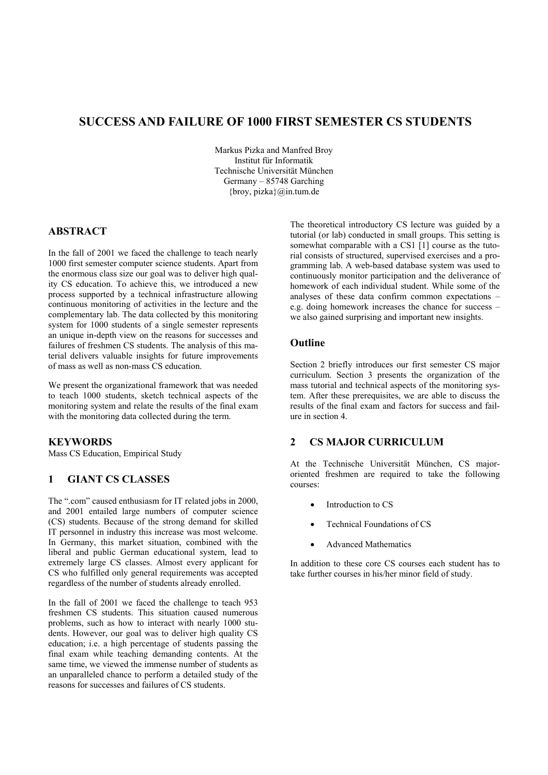# **SUCCESS AND FAILURE OF 1000 FIRST SEMESTER CS STUDENTS**

Markus Pizka and Manfred Broy Institut für Informatik Technische Universität München Germany – 85748 Garching  ${broy, pizza}$  $@in.tum.de$ 

## **ABSTRACT**

In the fall of 2001 we faced the challenge to teach nearly 1000 first semester computer science students. Apart from the enormous class size our goal was to deliver high quality CS education. To achieve this, we introduced a new process supported by a technical infrastructure allowing continuous monitoring of activities in the lecture and the complementary lab. The data collected by this monitoring system for 1000 students of a single semester represents an unique in-depth view on the reasons for successes and failures of freshmen CS students. The analysis of this material delivers valuable insights for future improvements of mass as well as non-mass CS education.

We present the organizational framework that was needed to teach 1000 students, sketch technical aspects of the monitoring system and relate the results of the final exam with the monitoring data collected during the term.

## **KEYWORDS**

Mass CS Education, Empirical Study

## **1 GIANT CS CLASSES**

The ".com" caused enthusiasm for IT related jobs in 2000, and 2001 entailed large numbers of computer science (CS) students. Because of the strong demand for skilled IT personnel in industry this increase was most welcome. In Germany, this market situation, combined with the liberal and public German educational system, lead to extremely large CS classes. Almost every applicant for CS who fulfilled only general requirements was accepted regardless of the number of students already enrolled.

In the fall of 2001 we faced the challenge to teach 953 freshmen CS students. This situation caused numerous problems, such as how to interact with nearly 1000 students. However, our goal was to deliver high quality CS education; i.e. a high percentage of students passing the final exam while teaching demanding contents. At the same time, we viewed the immense number of students as an unparalleled chance to perform a detailed study of the reasons for successes and failures of CS students.

The theoretical introductory CS lecture was guided by a tutorial (or lab) conducted in small groups. This setting is somewhat comparable with a CS1 [1] course as the tutorial consists of structured, supervised exercises and a programming lab. A web-based database system was used to continuously monitor participation and the deliverance of homework of each individual student. While some of the analyses of these data confirm common expectations – e.g. doing homework increases the chance for success – we also gained surprising and important new insights.

#### **Outline**

Section 2 briefly introduces our first semester CS major curriculum. Section 3 presents the organization of the mass tutorial and technical aspects of the monitoring system. After these prerequisites, we are able to discuss the results of the final exam and factors for success and failure in section 4.

## **2 CS MAJOR CURRICULUM**

At the Technische Universität München, CS majororiented freshmen are required to take the following courses:

- Introduction to CS
- Technical Foundations of CS
- Advanced Mathematics

In addition to these core CS courses each student has to take further courses in his/her minor field of study.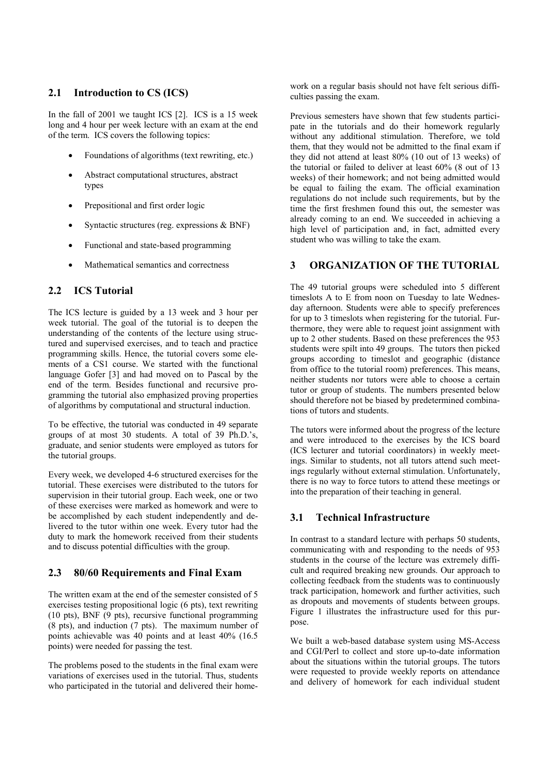## **2.1 Introduction to CS (ICS)**

In the fall of 2001 we taught ICS [2]. ICS is a 15 week long and 4 hour per week lecture with an exam at the end of the term. ICS covers the following topics:

- Foundations of algorithms (text rewriting, etc.)
- Abstract computational structures, abstract types
- Prepositional and first order logic
- Syntactic structures (reg. expressions & BNF)
- Functional and state-based programming
- Mathematical semantics and correctness

# **2.2 ICS Tutorial**

The ICS lecture is guided by a 13 week and 3 hour per week tutorial. The goal of the tutorial is to deepen the understanding of the contents of the lecture using structured and supervised exercises, and to teach and practice programming skills. Hence, the tutorial covers some elements of a CS1 course. We started with the functional language Gofer [3] and had moved on to Pascal by the end of the term. Besides functional and recursive programming the tutorial also emphasized proving properties of algorithms by computational and structural induction.

To be effective, the tutorial was conducted in 49 separate groups of at most 30 students. A total of 39 Ph.D.'s, graduate, and senior students were employed as tutors for the tutorial groups.

Every week, we developed 4-6 structured exercises for the tutorial. These exercises were distributed to the tutors for supervision in their tutorial group. Each week, one or two of these exercises were marked as homework and were to be accomplished by each student independently and delivered to the tutor within one week. Every tutor had the duty to mark the homework received from their students and to discuss potential difficulties with the group.

# **2.3 80/60 Requirements and Final Exam**

The written exam at the end of the semester consisted of 5 exercises testing propositional logic (6 pts), text rewriting (10 pts), BNF (9 pts), recursive functional programming (8 pts), and induction (7 pts). The maximum number of points achievable was 40 points and at least 40% (16.5 points) were needed for passing the test.

The problems posed to the students in the final exam were variations of exercises used in the tutorial. Thus, students who participated in the tutorial and delivered their homework on a regular basis should not have felt serious difficulties passing the exam.

Previous semesters have shown that few students participate in the tutorials and do their homework regularly without any additional stimulation. Therefore, we told them, that they would not be admitted to the final exam if they did not attend at least 80% (10 out of 13 weeks) of the tutorial or failed to deliver at least 60% (8 out of 13 weeks) of their homework; and not being admitted would be equal to failing the exam. The official examination regulations do not include such requirements, but by the time the first freshmen found this out, the semester was already coming to an end. We succeeded in achieving a high level of participation and, in fact, admitted every student who was willing to take the exam.

## **3 ORGANIZATION OF THE TUTORIAL**

The 49 tutorial groups were scheduled into 5 different timeslots A to E from noon on Tuesday to late Wednesday afternoon. Students were able to specify preferences for up to 3 timeslots when registering for the tutorial. Furthermore, they were able to request joint assignment with up to 2 other students. Based on these preferences the 953 students were spilt into 49 groups. The tutors then picked groups according to timeslot and geographic (distance from office to the tutorial room) preferences. This means, neither students nor tutors were able to choose a certain tutor or group of students. The numbers presented below should therefore not be biased by predetermined combinations of tutors and students.

The tutors were informed about the progress of the lecture and were introduced to the exercises by the ICS board (ICS lecturer and tutorial coordinators) in weekly meetings. Similar to students, not all tutors attend such meetings regularly without external stimulation. Unfortunately, there is no way to force tutors to attend these meetings or into the preparation of their teaching in general.

# **3.1 Technical Infrastructure**

In contrast to a standard lecture with perhaps 50 students, communicating with and responding to the needs of 953 students in the course of the lecture was extremely difficult and required breaking new grounds. Our approach to collecting feedback from the students was to continuously track participation, homework and further activities, such as dropouts and movements of students between groups. Figure 1 illustrates the infrastructure used for this purpose.

We built a web-based database system using MS-Access and CGI/Perl to collect and store up-to-date information about the situations within the tutorial groups. The tutors were requested to provide weekly reports on attendance and delivery of homework for each individual student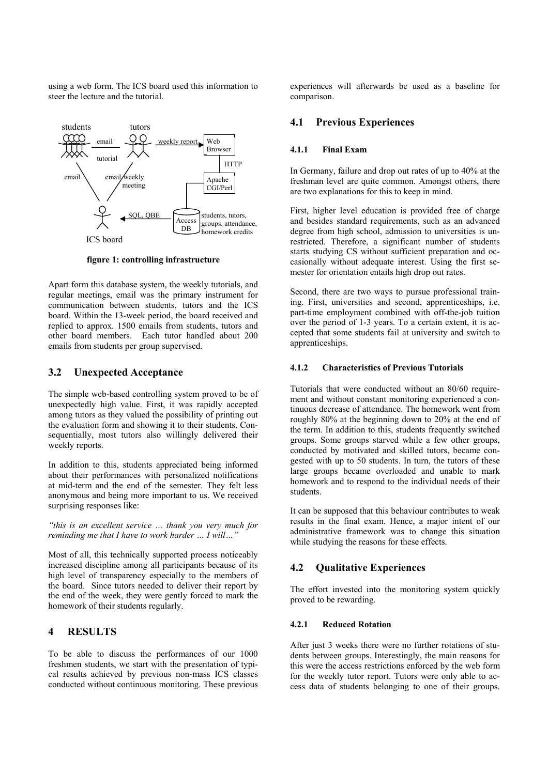using a web form. The ICS board used this information to steer the lecture and the tutorial.



**figure 1: controlling infrastructure** 

Apart form this database system, the weekly tutorials, and regular meetings, email was the primary instrument for communication between students, tutors and the ICS board. Within the 13-week period, the board received and replied to approx. 1500 emails from students, tutors and other board members. Each tutor handled about 200 emails from students per group supervised.

## **3.2 Unexpected Acceptance**

The simple web-based controlling system proved to be of unexpectedly high value. First, it was rapidly accepted among tutors as they valued the possibility of printing out the evaluation form and showing it to their students. Consequentially, most tutors also willingly delivered their weekly reports.

In addition to this, students appreciated being informed about their performances with personalized notifications at mid-term and the end of the semester. They felt less anonymous and being more important to us. We received surprising responses like:

*"this is an excellent service … thank you very much for reminding me that I have to work harder … I will…"* 

Most of all, this technically supported process noticeably increased discipline among all participants because of its high level of transparency especially to the members of the board. Since tutors needed to deliver their report by the end of the week, they were gently forced to mark the homework of their students regularly.

## **4 RESULTS**

To be able to discuss the performances of our 1000 freshmen students, we start with the presentation of typical results achieved by previous non-mass ICS classes conducted without continuous monitoring. These previous experiences will afterwards be used as a baseline for comparison.

## **4.1 Previous Experiences**

#### **4.1.1 Final Exam**

In Germany, failure and drop out rates of up to 40% at the freshman level are quite common. Amongst others, there are two explanations for this to keep in mind.

First, higher level education is provided free of charge and besides standard requirements, such as an advanced degree from high school, admission to universities is unrestricted. Therefore, a significant number of students starts studying CS without sufficient preparation and occasionally without adequate interest. Using the first semester for orientation entails high drop out rates.

Second, there are two ways to pursue professional training. First, universities and second, apprenticeships, i.e. part-time employment combined with off-the-job tuition over the period of 1-3 years. To a certain extent, it is accepted that some students fail at university and switch to apprenticeships.

#### **4.1.2 Characteristics of Previous Tutorials**

Tutorials that were conducted without an 80/60 requirement and without constant monitoring experienced a continuous decrease of attendance. The homework went from roughly 80% at the beginning down to 20% at the end of the term. In addition to this, students frequently switched groups. Some groups starved while a few other groups, conducted by motivated and skilled tutors, became congested with up to 50 students. In turn, the tutors of these large groups became overloaded and unable to mark homework and to respond to the individual needs of their students.

It can be supposed that this behaviour contributes to weak results in the final exam. Hence, a major intent of our administrative framework was to change this situation while studying the reasons for these effects.

## **4.2 Qualitative Experiences**

The effort invested into the monitoring system quickly proved to be rewarding.

#### **4.2.1 Reduced Rotation**

After just 3 weeks there were no further rotations of students between groups. Interestingly, the main reasons for this were the access restrictions enforced by the web form for the weekly tutor report. Tutors were only able to access data of students belonging to one of their groups.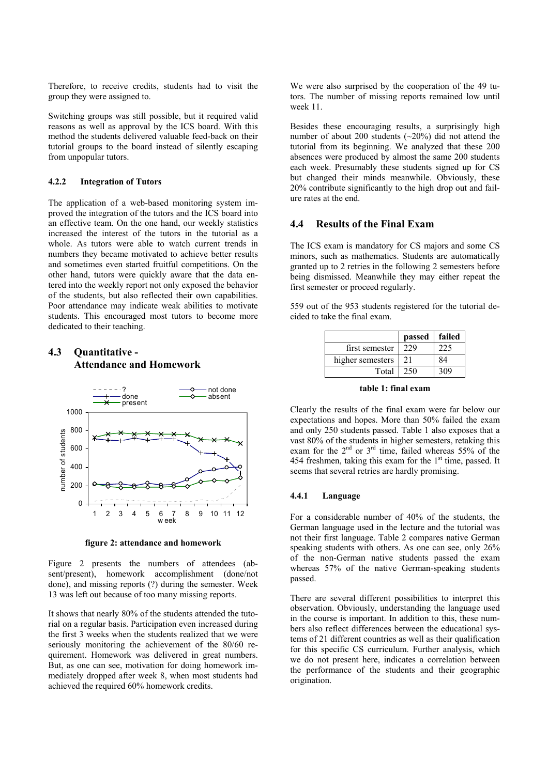Therefore, to receive credits, students had to visit the group they were assigned to.

Switching groups was still possible, but it required valid reasons as well as approval by the ICS board. With this method the students delivered valuable feed-back on their tutorial groups to the board instead of silently escaping from unpopular tutors.

#### **4.2.2 Integration of Tutors**

The application of a web-based monitoring system improved the integration of the tutors and the ICS board into an effective team. On the one hand, our weekly statistics increased the interest of the tutors in the tutorial as a whole. As tutors were able to watch current trends in numbers they became motivated to achieve better results and sometimes even started fruitful competitions. On the other hand, tutors were quickly aware that the data entered into the weekly report not only exposed the behavior of the students, but also reflected their own capabilities. Poor attendance may indicate weak abilities to motivate students. This encouraged most tutors to become more dedicated to their teaching.

## **4.3 Quantitative - Attendance and Homework**



**figure 2: attendance and homework** 

Figure 2 presents the numbers of attendees (absent/present), homework accomplishment (done/not done), and missing reports (?) during the semester. Week 13 was left out because of too many missing reports.

It shows that nearly 80% of the students attended the tutorial on a regular basis. Participation even increased during the first 3 weeks when the students realized that we were seriously monitoring the achievement of the 80/60 requirement. Homework was delivered in great numbers. But, as one can see, motivation for doing homework immediately dropped after week 8, when most students had achieved the required 60% homework credits.

We were also surprised by the cooperation of the 49 tutors. The number of missing reports remained low until week 11

Besides these encouraging results, a surprisingly high number of about 200 students (~20%) did not attend the tutorial from its beginning. We analyzed that these 200 absences were produced by almost the same 200 students each week. Presumably these students signed up for CS but changed their minds meanwhile. Obviously, these 20% contribute significantly to the high drop out and failure rates at the end.

#### **4.4 Results of the Final Exam**

The ICS exam is mandatory for CS majors and some CS minors, such as mathematics. Students are automatically granted up to 2 retries in the following 2 semesters before being dismissed. Meanwhile they may either repeat the first semester or proceed regularly.

559 out of the 953 students registered for the tutorial decided to take the final exam.

|                  | passed | failed |
|------------------|--------|--------|
| first semester   | 229    | 225    |
| higher semesters | 21     |        |
| Total            | 250    | 309    |

**table 1: final exam** 

Clearly the results of the final exam were far below our expectations and hopes. More than 50% failed the exam and only 250 students passed. Table 1 also exposes that a vast 80% of the students in higher semesters, retaking this exam for the  $2^{nd}$  or  $3^{rd}$  time, failed whereas 55% of the 454 freshmen, taking this exam for the  $1<sup>st</sup>$  time, passed. It seems that several retries are hardly promising.

#### **4.4.1 Language**

For a considerable number of 40% of the students, the German language used in the lecture and the tutorial was not their first language. Table 2 compares native German speaking students with others. As one can see, only 26% of the non-German native students passed the exam whereas 57% of the native German-speaking students passed.

There are several different possibilities to interpret this observation. Obviously, understanding the language used in the course is important. In addition to this, these numbers also reflect differences between the educational systems of 21 different countries as well as their qualification for this specific CS curriculum. Further analysis, which we do not present here, indicates a correlation between the performance of the students and their geographic origination.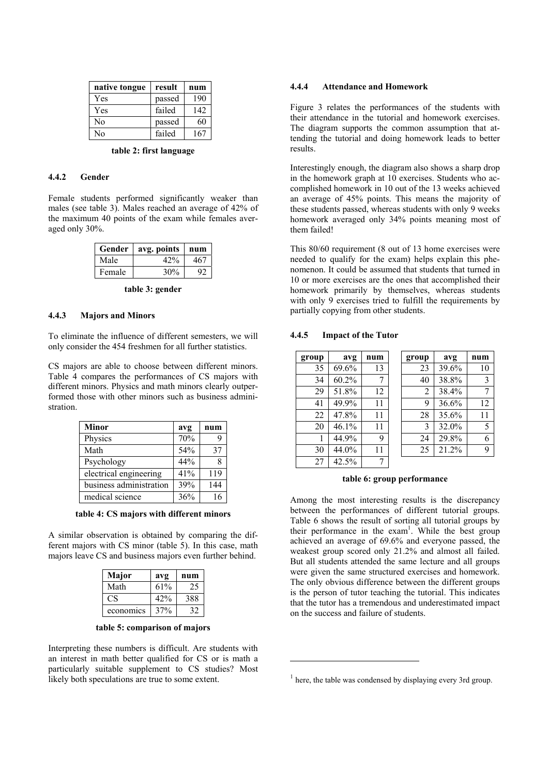| native tongue  | result | num |
|----------------|--------|-----|
| Yes            | passed | 190 |
| Yes            | failed | 142 |
| N <sub>0</sub> | passed | 60  |
| No             | failed | 167 |

#### **table 2: first language**

## **4.4.2 Gender**

Female students performed significantly weaker than males (see table 3). Males reached an average of 42% of the maximum 40 points of the exam while females averaged only 30%.

| Gender | avg. points | num |
|--------|-------------|-----|
| Male   | 42%         | 467 |
| Female | 30%         | 92. |

**table 3: gender** 

#### **4.4.3 Majors and Minors**

To eliminate the influence of different semesters, we will only consider the 454 freshmen for all further statistics.

CS majors are able to choose between different minors. Table 4 compares the performances of CS majors with different minors. Physics and math minors clearly outperformed those with other minors such as business administration.

| <b>Minor</b>            | avg | num |
|-------------------------|-----|-----|
| Physics                 | 70% | 9   |
| Math                    | 54% | 37  |
| Psychology              | 44% |     |
| electrical engineering  | 41% | 119 |
| business administration | 39% | 144 |
| medical science         | 36% | 16  |

**table 4: CS majors with different minors** 

A similar observation is obtained by comparing the different majors with CS minor (table 5). In this case, math majors leave CS and business majors even further behind.

| Major       | avg | num |
|-------------|-----|-----|
| Math        | 61% | -25 |
| $C_{\rm S}$ | 42% | 388 |
| economics   | 37% | 32  |

**table 5: comparison of majors** 

Interpreting these numbers is difficult. Are students with an interest in math better qualified for CS or is math a particularly suitable supplement to CS studies? Most likely both speculations are true to some extent.

#### **4.4.4 Attendance and Homework**

Figure 3 relates the performances of the students with their attendance in the tutorial and homework exercises. The diagram supports the common assumption that attending the tutorial and doing homework leads to better results.

Interestingly enough, the diagram also shows a sharp drop in the homework graph at 10 exercises. Students who accomplished homework in 10 out of the 13 weeks achieved an average of 45% points. This means the majority of these students passed, whereas students with only 9 weeks homework averaged only 34% points meaning most of them failed!

This 80/60 requirement (8 out of 13 home exercises were needed to qualify for the exam) helps explain this phenomenon. It could be assumed that students that turned in 10 or more exercises are the ones that accomplished their homework primarily by themselves, whereas students with only 9 exercises tried to fulfill the requirements by partially copying from other students.

#### **4.4.5 Impact of the Tutor**

| group | avg   | num | group | avg   | num |
|-------|-------|-----|-------|-------|-----|
| 35    | 69.6% | 13  | 23    | 39.6% | 10  |
| 34    | 60.2% |     | 40    | 38.8% | 3   |
| 29    | 51.8% | 12  | 2     | 38.4% | 7   |
| 41    | 49.9% | 11  | 9     | 36.6% | 12  |
| 22    | 47.8% | 11  | 28    | 35.6% | 11  |
| 20    | 46.1% | 11  | 3     | 32.0% | 5   |
|       | 44.9% | 9   | 24    | 29.8% | 6   |
| 30    | 44.0% | 11  | 25    | 21.2% | 9   |
| 27    | 42.5% |     |       |       |     |

#### **table 6: group performance**

Among the most interesting results is the discrepancy between the performances of different tutorial groups. Table 6 shows the result of sorting all tutorial groups by their performance in the exam<sup>1</sup>. While the best group achieved an average of 69.6% and everyone passed, the weakest group scored only 21.2% and almost all failed. But all students attended the same lecture and all groups were given the same structured exercises and homework. The only obvious difference between the different groups is the person of tutor teaching the tutorial. This indicates that the tutor has a tremendous and underestimated impact on the success and failure of students.

 $\overline{a}$ 

 $<sup>1</sup>$  here, the table was condensed by displaying every 3rd group.</sup>